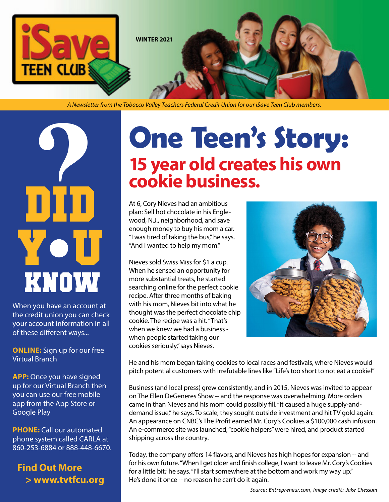

*A Newsletter from the Tobacco Valley Teachers Federal Credit Union for our iSave Teen Club members.*

# **?** know DID UIU<br>You

When you have an account at the credit union you can check your account information in all of these different ways...

**ONLINE:** Sign up for our free Virtual Branch

**APP:** Once you have signed up for our Virtual Branch then you can use our free mobile app from the App Store or Google Play

**PHONE:** Call our automated phone system called CARLA at 860-253-6884 or 888-448-6670.

**Find Out More > www.tvtfcu.org**

## **One Teen's Story: 15 year old creates his own cookie business.**

At 6, Cory Nieves had an ambitious plan: Sell hot chocolate in his Englewood, N.J., neighborhood, and save enough money to buy his mom a car. "I was tired of taking the bus," he says. "And I wanted to help my mom."

Nieves sold Swiss Miss for \$1 a cup. When he sensed an opportunity for more substantial treats, he started searching online for the perfect cookie recipe. After three months of baking with his mom, Nieves bit into what he thought was the perfect chocolate chip cookie. The recipe was a hit. "That's when we knew we had a business when people started taking our cookies seriously," says Nieves.



He and his mom began taking cookies to local races and festivals, where Nieves would pitch potential customers with irrefutable lines like "Life's too short to not eat a cookie!"

Business (and local press) grew consistently, and in 2015, Nieves was invited to appear on The Ellen DeGeneres Show -- and the response was overwhelming. More orders came in than Nieves and his mom could possibly fill. "It caused a huge supply-anddemand issue," he says. To scale, they sought outside investment and hit TV gold again: An appearance on CNBC's The Profit earned Mr. Cory's Cookies a \$100,000 cash infusion. An e-commerce site was launched, "cookie helpers" were hired, and product started shipping across the country.

Today, the company offers 14 flavors, and Nieves has high hopes for expansion -- and for his own future. "When I get older and finish college, I want to leave Mr. Cory's Cookies for a little bit," he says. "I'll start somewhere at the bottom and work my way up." He's done it once -- no reason he can't do it again.